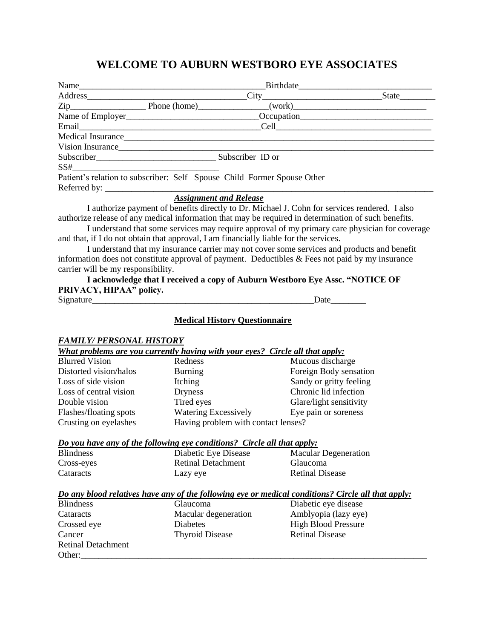## **WELCOME TO AUBURN WESTBORO EYE ASSOCIATES**

|                                                                                       |                                      | Birthdate                                                                                                                                                                                                                      |
|---------------------------------------------------------------------------------------|--------------------------------------|--------------------------------------------------------------------------------------------------------------------------------------------------------------------------------------------------------------------------------|
|                                                                                       |                                      |                                                                                                                                                                                                                                |
|                                                                                       |                                      |                                                                                                                                                                                                                                |
|                                                                                       |                                      |                                                                                                                                                                                                                                |
|                                                                                       |                                      |                                                                                                                                                                                                                                |
|                                                                                       |                                      | Medical Insurance has a series of the series of the series of the series of the series of the series of the series of the series of the series of the series of the series of the series of the series of the series of the se |
|                                                                                       |                                      | Vision Insurance                                                                                                                                                                                                               |
|                                                                                       |                                      |                                                                                                                                                                                                                                |
| $SS#$                                                                                 |                                      |                                                                                                                                                                                                                                |
| Patient's relation to subscriber: Self Spouse Child Former Spouse Other               |                                      |                                                                                                                                                                                                                                |
|                                                                                       |                                      |                                                                                                                                                                                                                                |
|                                                                                       |                                      |                                                                                                                                                                                                                                |
|                                                                                       |                                      | I authorize payment of benefits directly to Dr. Michael J. Cohn for services rendered. I also                                                                                                                                  |
|                                                                                       |                                      | authorize release of any medical information that may be required in determination of such benefits.                                                                                                                           |
|                                                                                       |                                      | I understand that some services may require approval of my primary care physician for coverage                                                                                                                                 |
| and that, if I do not obtain that approval, I am financially liable for the services. |                                      |                                                                                                                                                                                                                                |
|                                                                                       |                                      | I understand that my insurance carrier may not cover some services and products and benefit                                                                                                                                    |
|                                                                                       |                                      | information does not constitute approval of payment. Deductibles & Fees not paid by my insurance                                                                                                                               |
| carrier will be my responsibility.                                                    |                                      |                                                                                                                                                                                                                                |
|                                                                                       |                                      | I acknowledge that I received a copy of Auburn Westboro Eye Assc. "NOTICE OF                                                                                                                                                   |
| PRIVACY, HIPAA" policy.                                                               |                                      |                                                                                                                                                                                                                                |
| Signature Date Date Date                                                              |                                      |                                                                                                                                                                                                                                |
|                                                                                       |                                      |                                                                                                                                                                                                                                |
|                                                                                       | <b>Medical History Questionnaire</b> |                                                                                                                                                                                                                                |
|                                                                                       |                                      |                                                                                                                                                                                                                                |
| <b>FAMILY/ PERSONAL HISTORY</b>                                                       |                                      |                                                                                                                                                                                                                                |
| What problems are you currently having with your eyes? Circle all that apply:         |                                      |                                                                                                                                                                                                                                |
| <b>Blurred Vision</b>                                                                 | Redness                              | Mucous discharge                                                                                                                                                                                                               |
| Distorted vision/halos                                                                | Burning                              | Foreign Body sensation                                                                                                                                                                                                         |
| Loss of side vision                                                                   | Itching                              | Sandy or gritty feeling                                                                                                                                                                                                        |
| Loss of central vision                                                                | <b>Dryness</b>                       | Chronic lid infection                                                                                                                                                                                                          |
| Double vision                                                                         | Tired eyes                           | Glare/light sensitivity                                                                                                                                                                                                        |
| Flashes/floating spots                                                                | <b>Watering Excessively</b>          | Eye pain or soreness                                                                                                                                                                                                           |
| Crusting on eyelashes                                                                 | Having problem with contact lenses?  |                                                                                                                                                                                                                                |
|                                                                                       |                                      |                                                                                                                                                                                                                                |
| Do you have any of the following eye conditions? Circle all that apply:               |                                      |                                                                                                                                                                                                                                |
| <b>Blindness</b>                                                                      | Diabetic Eye Disease                 | <b>Macular Degeneration</b>                                                                                                                                                                                                    |
| Cross-eyes                                                                            | <b>Retinal Detachment</b>            | Glaucoma                                                                                                                                                                                                                       |
| Cataracts                                                                             | Lazy eye                             | <b>Retinal Disease</b>                                                                                                                                                                                                         |
|                                                                                       |                                      |                                                                                                                                                                                                                                |
|                                                                                       |                                      | Do any blood relatives have any of the following eye or medical conditions? Circle all that apply:                                                                                                                             |
| <b>Blindness</b>                                                                      | Glaucoma                             | Diabetic eye disease                                                                                                                                                                                                           |
| Cataracts                                                                             | Macular degeneration                 | Amblyopia (lazy eye)                                                                                                                                                                                                           |
| Crossed eye                                                                           | Diabetes                             | <b>High Blood Pressure</b>                                                                                                                                                                                                     |
| Cancer                                                                                | <b>Thyroid Disease</b>               | <b>Retinal Disease</b>                                                                                                                                                                                                         |
| <b>Retinal Detachment</b>                                                             |                                      |                                                                                                                                                                                                                                |
| Other:                                                                                |                                      |                                                                                                                                                                                                                                |